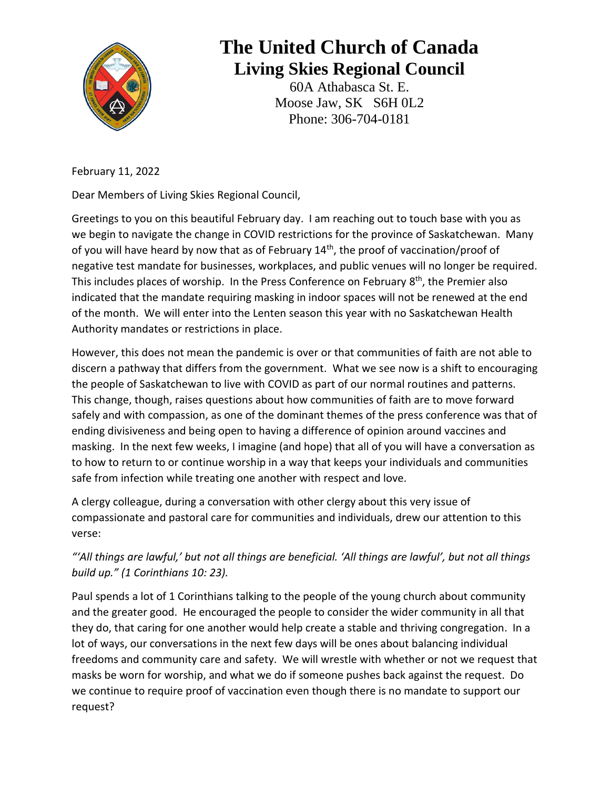

## **The United Church of Canada Living Skies Regional Council**

60A Athabasca St. E. Moose Jaw, SK S6H 0L2 Phone: 306-704-0181

February 11, 2022

Dear Members of Living Skies Regional Council,

Greetings to you on this beautiful February day. I am reaching out to touch base with you as we begin to navigate the change in COVID restrictions for the province of Saskatchewan. Many of you will have heard by now that as of February 14<sup>th</sup>, the proof of vaccination/proof of negative test mandate for businesses, workplaces, and public venues will no longer be required. This includes places of worship. In the Press Conference on February 8<sup>th</sup>, the Premier also indicated that the mandate requiring masking in indoor spaces will not be renewed at the end of the month. We will enter into the Lenten season this year with no Saskatchewan Health Authority mandates or restrictions in place.

However, this does not mean the pandemic is over or that communities of faith are not able to discern a pathway that differs from the government. What we see now is a shift to encouraging the people of Saskatchewan to live with COVID as part of our normal routines and patterns. This change, though, raises questions about how communities of faith are to move forward safely and with compassion, as one of the dominant themes of the press conference was that of ending divisiveness and being open to having a difference of opinion around vaccines and masking. In the next few weeks, I imagine (and hope) that all of you will have a conversation as to how to return to or continue worship in a way that keeps your individuals and communities safe from infection while treating one another with respect and love.

A clergy colleague, during a conversation with other clergy about this very issue of compassionate and pastoral care for communities and individuals, drew our attention to this verse:

## *"'All things are lawful,' but not all things are beneficial. 'All things are lawful', but not all things build up." (1 Corinthians 10: 23).*

Paul spends a lot of 1 Corinthians talking to the people of the young church about community and the greater good. He encouraged the people to consider the wider community in all that they do, that caring for one another would help create a stable and thriving congregation. In a lot of ways, our conversations in the next few days will be ones about balancing individual freedoms and community care and safety. We will wrestle with whether or not we request that masks be worn for worship, and what we do if someone pushes back against the request. Do we continue to require proof of vaccination even though there is no mandate to support our request?